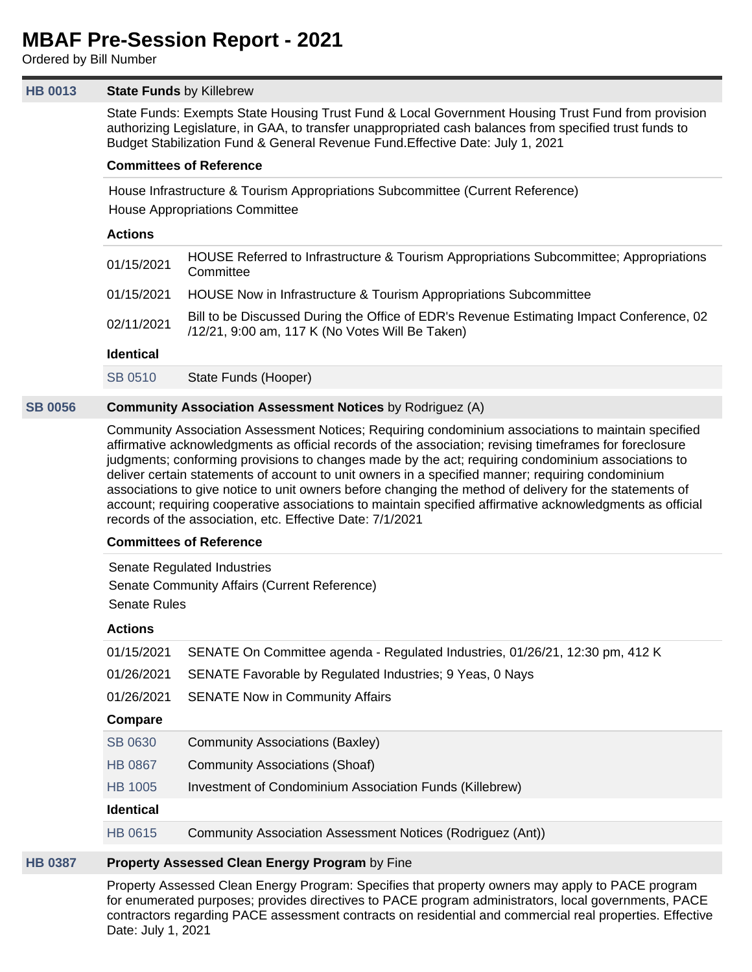# **MBAF Pre-Session Report - 2021**

Ordered by Bill Number

# **[HB 0013](https://apps.lobbytools.com/tools/t.cfm?a=bills&b=summary&billid=56263) State Funds** by Killebrew

State Funds: Exempts State Housing Trust Fund & Local Government Housing Trust Fund from provision authorizing Legislature, in GAA, to transfer unappropriated cash balances from specified trust funds to Budget Stabilization Fund & General Revenue Fund.Effective Date: July 1, 2021

# **Committees of Reference**

House Infrastructure & Tourism Appropriations Subcommittee (Current Reference) House Appropriations Committee

# **Actions**

| 01/15/2021       | HOUSE Referred to Infrastructure & Tourism Appropriations Subcommittee; Appropriations<br>Committee                                         |
|------------------|---------------------------------------------------------------------------------------------------------------------------------------------|
| 01/15/2021       | HOUSE Now in Infrastructure & Tourism Appropriations Subcommittee                                                                           |
| 02/11/2021       | Bill to be Discussed During the Office of EDR's Revenue Estimating Impact Conference, 02<br>/12/21, 9:00 am, 117 K (No Votes Will Be Taken) |
| <b>Identical</b> |                                                                                                                                             |
| SB 0510          | State Funds (Hooper)                                                                                                                        |

# **[SB 0056](https://apps.lobbytools.com/tools/t.cfm?a=bills&b=summary&billid=56496) Community Association Assessment Notices** by Rodriguez (A)

Community Association Assessment Notices; Requiring condominium associations to maintain specified affirmative acknowledgments as official records of the association; revising timeframes for foreclosure judgments; conforming provisions to changes made by the act; requiring condominium associations to deliver certain statements of account to unit owners in a specified manner; requiring condominium associations to give notice to unit owners before changing the method of delivery for the statements of account; requiring cooperative associations to maintain specified affirmative acknowledgments as official records of the association, etc. Effective Date: 7/1/2021

# **Committees of Reference**

Senate Regulated Industries Senate Community Affairs (Current Reference) Senate Rules

# **Actions**

| 01/15/2021       | SENATE On Committee agenda - Regulated Industries, 01/26/21, 12:30 pm, 412 K |
|------------------|------------------------------------------------------------------------------|
| 01/26/2021       | SENATE Favorable by Regulated Industries; 9 Yeas, 0 Nays                     |
| 01/26/2021       | <b>SENATE Now in Community Affairs</b>                                       |
| Compare          |                                                                              |
| <b>SB 0630</b>   | Community Associations (Baxley)                                              |
| <b>HB 0867</b>   | Community Associations (Shoaf)                                               |
| <b>HB 1005</b>   | Investment of Condominium Association Funds (Killebrew)                      |
| <b>Identical</b> |                                                                              |
| <b>HB 0615</b>   | Community Association Assessment Notices (Rodriguez (Ant))                   |
|                  |                                                                              |

# **[HB 0387](https://apps.lobbytools.com/tools/t.cfm?a=bills&b=summary&billid=56868) Property Assessed Clean Energy Program** by Fine

Property Assessed Clean Energy Program: Specifies that property owners may apply to PACE program for enumerated purposes; provides directives to PACE program administrators, local governments, PACE contractors regarding PACE assessment contracts on residential and commercial real properties. Effective Date: July 1, 2021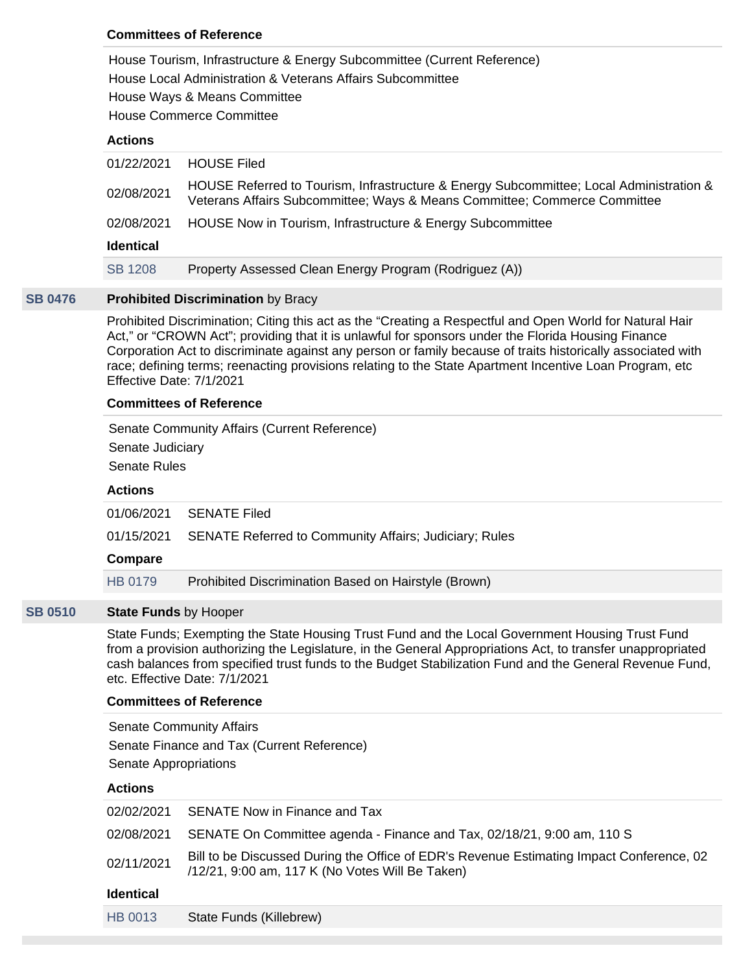# **Committees of Reference**

House Tourism, Infrastructure & Energy Subcommittee (Current Reference) House Local Administration & Veterans Affairs Subcommittee House Ways & Means Committee

House Commerce Committee

# **Actions**

| 01/22/2021       | <b>HOUSE Filed</b>                                                                                                                                                   |
|------------------|----------------------------------------------------------------------------------------------------------------------------------------------------------------------|
| 02/08/2021       | HOUSE Referred to Tourism, Infrastructure & Energy Subcommittee; Local Administration &<br>Veterans Affairs Subcommittee; Ways & Means Committee; Commerce Committee |
| 02/08/2021       | HOUSE Now in Tourism, Infrastructure & Energy Subcommittee                                                                                                           |
| <b>Identical</b> |                                                                                                                                                                      |
| <b>SB 1208</b>   | Property Assessed Clean Energy Program (Rodriguez (A))                                                                                                               |
|                  |                                                                                                                                                                      |

# **[SB 0476](https://apps.lobbytools.com/tools/t.cfm?a=bills&b=summary&billid=56527) Prohibited Discrimination** by Bracy

Prohibited Discrimination; Citing this act as the "Creating a Respectful and Open World for Natural Hair Act," or "CROWN Act"; providing that it is unlawful for sponsors under the Florida Housing Finance Corporation Act to discriminate against any person or family because of traits historically associated with race; defining terms; reenacting provisions relating to the State Apartment Incentive Loan Program, etc Effective Date: 7/1/2021

# **Committees of Reference**

Senate Community Affairs (Current Reference) Senate Judiciary Senate Rules

#### **Actions**

| 01/06/2021 | <b>SENATE Filed</b> |
|------------|---------------------|
|            |                     |

01/15/2021 SENATE Referred to Community Affairs; Judiciary; Rules

#### **Compare**

[HB 0179](https://apps.lobbytools.com/tools/t.cfm?a=bills&b=summary&billid=56549) Prohibited Discrimination Based on Hairstyle (Brown)

# **[SB 0510](https://apps.lobbytools.com/tools/t.cfm?a=bills&b=summary&billid=56563) State Funds** by Hooper

State Funds; Exempting the State Housing Trust Fund and the Local Government Housing Trust Fund from a provision authorizing the Legislature, in the General Appropriations Act, to transfer unappropriated cash balances from specified trust funds to the Budget Stabilization Fund and the General Revenue Fund, etc. Effective Date: 7/1/2021

### **Committees of Reference**

Senate Community Affairs Senate Finance and Tax (Current Reference) Senate Appropriations

# **Actions**

|                  | 02/02/2021 SENATE Now in Finance and Tax                                                                                                    |
|------------------|---------------------------------------------------------------------------------------------------------------------------------------------|
|                  | 02/08/2021 SENATE On Committee agenda - Finance and Tax, 02/18/21, 9:00 am, 110 S                                                           |
| 02/11/2021       | Bill to be Discussed During the Office of EDR's Revenue Estimating Impact Conference, 02<br>/12/21, 9:00 am, 117 K (No Votes Will Be Taken) |
| <b>Identical</b> |                                                                                                                                             |
| HB 0013          | State Funds (Killebrew)                                                                                                                     |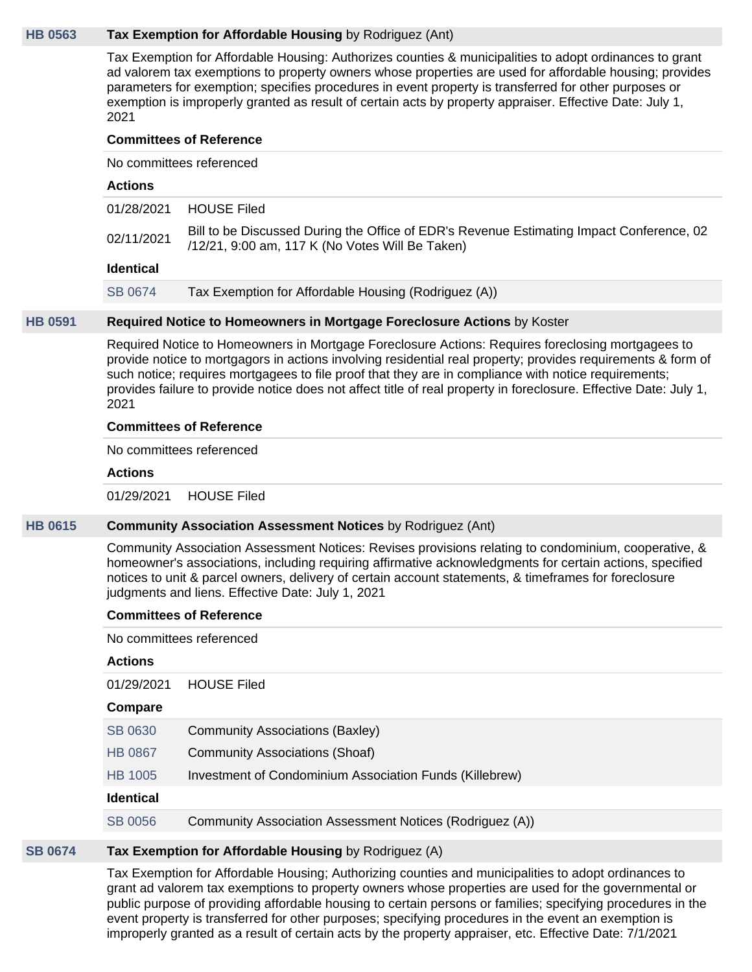#### **[HB 0563](https://apps.lobbytools.com/tools/t.cfm?a=bills&b=summary&billid=57214) Tax Exemption for Affordable Housing** by Rodriguez (Ant)

Tax Exemption for Affordable Housing: Authorizes counties & municipalities to adopt ordinances to grant ad valorem tax exemptions to property owners whose properties are used for affordable housing; provides parameters for exemption; specifies procedures in event property is transferred for other purposes or exemption is improperly granted as result of certain acts by property appraiser. Effective Date: July 1, 2021

#### **Committees of Reference**

No committees referenced

#### **Actions**

| <b>Identical</b> |                                                                                                                                             |
|------------------|---------------------------------------------------------------------------------------------------------------------------------------------|
| 02/11/2021       | Bill to be Discussed During the Office of EDR's Revenue Estimating Impact Conference, 02<br>/12/21, 9:00 am, 117 K (No Votes Will Be Taken) |
|                  | 01/28/2021 HOUSE Filed                                                                                                                      |

[SB 0674](https://apps.lobbytools.com/tools/t.cfm?a=bills&b=summary&billid=56720) Tax Exemption for Affordable Housing (Rodriguez (A))

#### **[HB 0591](https://apps.lobbytools.com/tools/t.cfm?a=bills&b=summary&billid=57240) Required Notice to Homeowners in Mortgage Foreclosure Actions** by Koster

Required Notice to Homeowners in Mortgage Foreclosure Actions: Requires foreclosing mortgagees to provide notice to mortgagors in actions involving residential real property; provides requirements & form of such notice; requires mortgagees to file proof that they are in compliance with notice requirements; provides failure to provide notice does not affect title of real property in foreclosure. Effective Date: July 1, 2021

#### **Committees of Reference**

No committees referenced

#### **Actions**

01/29/2021 HOUSE Filed

# **[HB 0615](https://apps.lobbytools.com/tools/t.cfm?a=bills&b=summary&billid=57270) Community Association Assessment Notices** by Rodriguez (Ant)

Community Association Assessment Notices: Revises provisions relating to condominium, cooperative, & homeowner's associations, including requiring affirmative acknowledgments for certain actions, specified notices to unit & parcel owners, delivery of certain account statements, & timeframes for foreclosure judgments and liens. Effective Date: July 1, 2021

#### **Committees of Reference**

No committees referenced

#### **Actions**

| 01/29/2021 | <b>HOUSE Filed</b> |  |
|------------|--------------------|--|
|------------|--------------------|--|

#### **Compare**

|  | SB 0630 | Community Associations (Baxley) |  |
|--|---------|---------------------------------|--|
|--|---------|---------------------------------|--|

- [HB 0867](https://apps.lobbytools.com/tools/t.cfm?a=bills&b=summary&billid=58112) Community Associations (Shoaf)
- [HB 1005](https://apps.lobbytools.com/tools/t.cfm?a=bills&b=summary&billid=58422) Investment of Condominium Association Funds (Killebrew)

#### **Identical**

[SB 0056](https://apps.lobbytools.com/tools/t.cfm?a=bills&b=summary&billid=56496) Community Association Assessment Notices (Rodriguez (A))

#### **[SB 0674](https://apps.lobbytools.com/tools/t.cfm?a=bills&b=summary&billid=56720) Tax Exemption for Affordable Housing** by Rodriguez (A)

Tax Exemption for Affordable Housing; Authorizing counties and municipalities to adopt ordinances to grant ad valorem tax exemptions to property owners whose properties are used for the governmental or public purpose of providing affordable housing to certain persons or families; specifying procedures in the event property is transferred for other purposes; specifying procedures in the event an exemption is improperly granted as a result of certain acts by the property appraiser, etc. Effective Date: 7/1/2021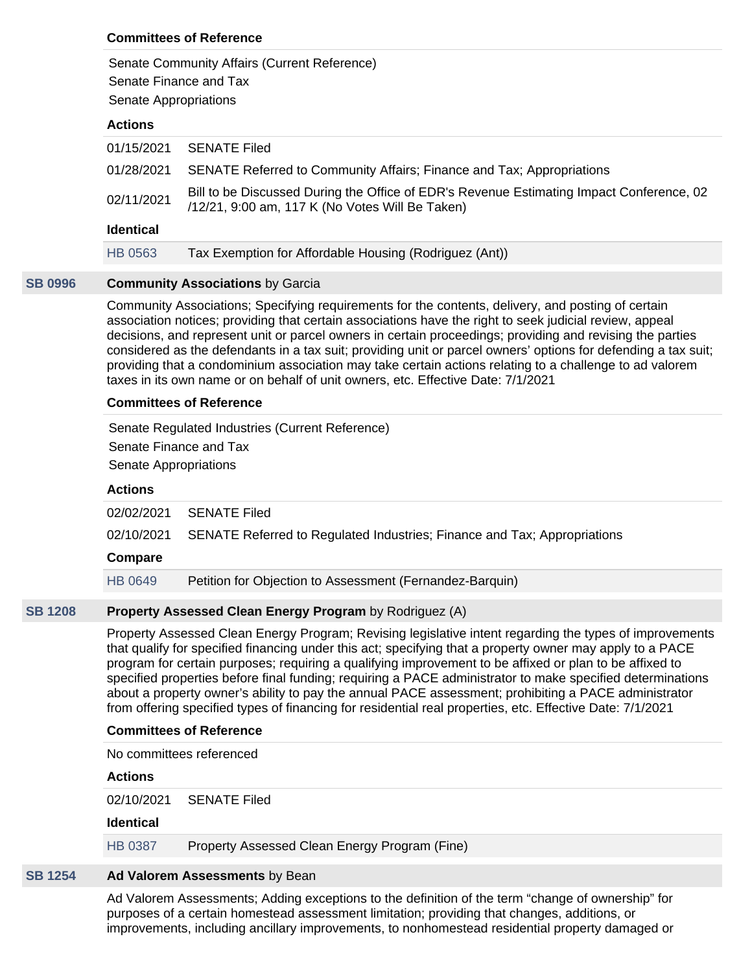# **Committees of Reference**

Senate Community Affairs (Current Reference)

Senate Finance and Tax

Senate Appropriations

# **Actions**

| HB 0563          | Tax Exemption for Affordable Housing (Rodriguez (Ant))                                                                                      |
|------------------|---------------------------------------------------------------------------------------------------------------------------------------------|
| <b>Identical</b> |                                                                                                                                             |
| 02/11/2021       | Bill to be Discussed During the Office of EDR's Revenue Estimating Impact Conference, 02<br>/12/21, 9:00 am, 117 K (No Votes Will Be Taken) |
| 01/28/2021       | SENATE Referred to Community Affairs; Finance and Tax; Appropriations                                                                       |
| 01/15/2021       | <b>SENATE Filed</b>                                                                                                                         |

# **[SB 0996](https://apps.lobbytools.com/tools/t.cfm?a=bills&b=summary&billid=57437) Community Associations** by Garcia

Community Associations; Specifying requirements for the contents, delivery, and posting of certain association notices; providing that certain associations have the right to seek judicial review, appeal decisions, and represent unit or parcel owners in certain proceedings; providing and revising the parties considered as the defendants in a tax suit; providing unit or parcel owners' options for defending a tax suit; providing that a condominium association may take certain actions relating to a challenge to ad valorem taxes in its own name or on behalf of unit owners, etc. Effective Date: 7/1/2021

# **Committees of Reference**

Senate Regulated Industries (Current Reference) Senate Finance and Tax Senate Appropriations

# **Actions**

| 02/02/2021 | SENATE Filed                                                             |
|------------|--------------------------------------------------------------------------|
| 02/10/2021 | SENATE Referred to Regulated Industries; Finance and Tax; Appropriations |
|            |                                                                          |
| Compare    |                                                                          |
| HB 0649    | Petition for Objection to Assessment (Fernandez-Barquin)                 |
|            |                                                                          |

# **[SB 1208](https://apps.lobbytools.com/tools/t.cfm?a=bills&b=summary&billid=58199) Property Assessed Clean Energy Program** by Rodriguez (A)

Property Assessed Clean Energy Program; Revising legislative intent regarding the types of improvements that qualify for specified financing under this act; specifying that a property owner may apply to a PACE program for certain purposes; requiring a qualifying improvement to be affixed or plan to be affixed to specified properties before final funding; requiring a PACE administrator to make specified determinations about a property owner's ability to pay the annual PACE assessment; prohibiting a PACE administrator from offering specified types of financing for residential real properties, etc. Effective Date: 7/1/2021

# **Committees of Reference**

No committees referenced

**Actions**

02/10/2021 SENATE Filed

# **Identical**

[HB 0387](https://apps.lobbytools.com/tools/t.cfm?a=bills&b=summary&billid=56868) Property Assessed Clean Energy Program (Fine)

# **[SB 1254](https://apps.lobbytools.com/tools/t.cfm?a=bills&b=summary&billid=58336) Ad Valorem Assessments** by Bean

Ad Valorem Assessments; Adding exceptions to the definition of the term "change of ownership" for purposes of a certain homestead assessment limitation; providing that changes, additions, or improvements, including ancillary improvements, to nonhomestead residential property damaged or